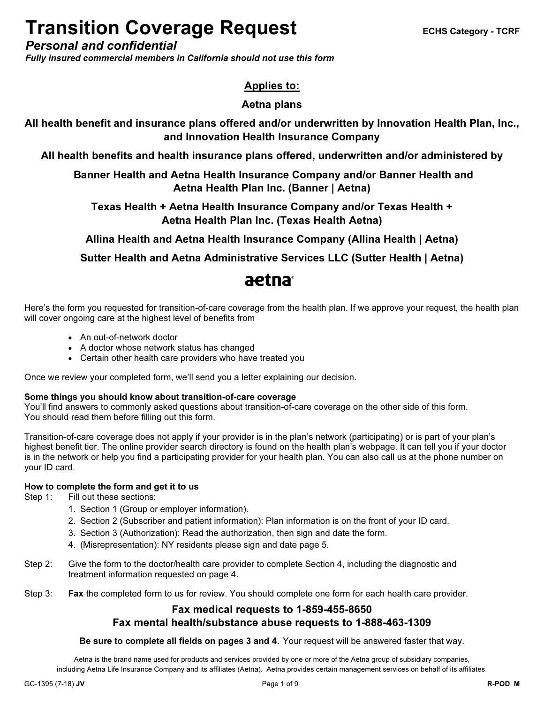# Transition Coverage Request ECHS Category - TCRF

Personal and confidential

Fully insured commercial members in California should not use this form

### Applies to:

### Aetna plans

All health benefit and insurance plans offered and/or underwritten by Innovation Health Plan, Inc., and Innovation Health Insurance Company

All health benefits and health insurance plans offered, underwritten and/or administered by

### Banner Health and Aetna Health Insurance Company and/or Banner Health and Aetna Health Plan Inc. (Banner | Aetna)

Texas Health + Aetna Health Insurance Company and/or Texas Health + Aetna Health Plan Inc. (Texas Health Aetna)

Allina Health and Aetna Health Insurance Company (Allina Health | Aetna)

Sutter Health and Aetna Administrative Services LLC (Sutter Health | Aetna)

# aetna

Here's the form you requested for transition-of-care coverage from the health plan. If we approve your request, the health plan will cover ongoing care at the highest level of benefits from

- An out-of-network doctor
- A doctor whose network status has changed
- Certain other health care providers who have treated you

Once we review your completed form, we'll send you a letter explaining our decision.

#### Some things you should know about transition-of-care coverage

You'll find answers to commonly asked questions about transition-of-care coverage on the other side of this form. You should read them before filling out this form.

Transition-of-care coverage does not apply if your provider is in the plan's network (participating) or is part of your plan's highest benefit tier. The online provider search directory is found on the health plan's webpage. It can tell you if your doctor is in the network or help you find a participating provider for your health plan. You can also call us at the phone number on your ID card.

### How to complete the form and get it to us

Step 1: Fill out these sections:

- 1. Section 1 (Group or employer information).
- 2. Section 2 (Subscriber and patient information): Plan information is on the front of your ID card.
- 3. Section 3 (Authorization): Read the authorization, then sign and date the form.
- 4. (Misrepresentation): NY residents please sign and date page 5.
- Step 2: Give the form to the doctor/health care provider to complete Section 4, including the diagnostic and treatment information requested on page 4.
- Step 3: Fax the completed form to us for review. You should complete one form for each health care provider.

### Fax medical requests to 1-859-455-8650

### Fax mental health/substance abuse requests to 1-888-463-1309

Be sure to complete all fields on pages 3 and 4. Your request will be answered faster that way.

Aetna is the brand name used for products and services provided by one or more of the Aetna group of subsidiary companies, including Aetna Life Insurance Company and its affiliates (Aetna). Aetna provides certain management services on behalf of its affiliates.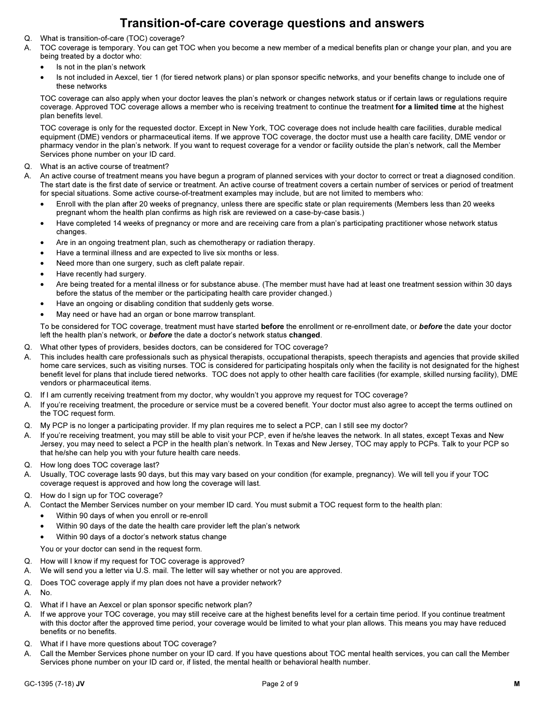### Transition-of-care coverage questions and answers

- Q. What is transition-of-care (TOC) coverage?
- A. TOC coverage is temporary. You can get TOC when you become a new member of a medical benefits plan or change your plan, and you are being treated by a doctor who:
	- •Is not in the plan's network
	- • Is not included in Aexcel, tier 1 (for tiered network plans) or plan sponsor specific networks, and your benefits change to include one of these networks

TOC coverage can also apply when your doctor leaves the plan's network or changes network status or if certain laws or regulations require coverage. Approved TOC coverage allows a member who is receiving treatment to continue the treatment for a limited time at the highest plan benefits level.

TOC coverage is only for the requested doctor. Except in New York, TOC coverage does not include health care facilities, durable medical equipment (DME) vendors or pharmaceutical items. If we approve TOC coverage, the doctor must use a health care facility, DME vendor or pharmacy vendor in the plan's network. If you want to request coverage for a vendor or facility outside the plan's network, call the Member Services phone number on your ID card.

- Q. What is an active course of treatment?
- A. An active course of treatment means you have begun a program of planned services with your doctor to correct or treat a diagnosed condition. The start date is the first date of service or treatment. An active course of treatment covers a certain number of services or period of treatment for special situations. Some active course-of-treatment examples may include, but are not limited to members who: •
	- Enroll with the plan after 20 weeks of pregnancy, unless there are specific state or plan requirements (Members less than 20 weeks pregnant whom the health plan confirms as high risk are reviewed on a case-by-case basis.)
	- • Have completed 14 weeks of pregnancy or more and are receiving care from a plan's participating practitioner whose network status changes.
	- •Are in an ongoing treatment plan, such as chemotherapy or radiation therapy.
	- •Have a terminal illness and are expected to live six months or less.
	- •Need more than one surgery, such as cleft palate repair.
	- •Have recently had surgery.
	- • Are being treated for a mental illness or for substance abuse. (The member must have had at least one treatment session within 30 days before the status of the member or the participating health care provider changed.)
	- •Have an ongoing or disabling condition that suddenly gets worse.
	- •May need or have had an organ or bone marrow transplant.

To be considered for TOC coverage, treatment must have started before the enrollment or re-enrollment date, or before the date your doctor left the health plan's network, or **before** the date a doctor's network status changed.

- Q. What other types of providers, besides doctors, can be considered for TOC coverage?
- A. This includes health care professionals such as physical therapists, occupational therapists, speech therapists and agencies that provide skilled home care services, such as visiting nurses. TOC is considered for participating hospitals only when the facility is not designated for the highest benefit level for plans that include tiered networks. TOC does not apply to other health care facilities (for example, skilled nursing facility), DME vendors or pharmaceutical items.
- Q. If I am currently receiving treatment from my doctor, why wouldn't you approve my request for TOC coverage?
- A. If you're receiving treatment, the procedure or service must be a covered benefit. Your doctor must also agree to accept the terms outlined on the TOC request form.
- Q. My PCP is no longer a participating provider. If my plan requires me to select a PCP, can I still see my doctor?
- A. If you're receiving treatment, you may still be able to visit your PCP, even if he/she leaves the network. In all states, except Texas and New Jersey, you may need to select a PCP in the health plan's network. In Texas and New Jersey, TOC may apply to PCPs. Talk to your PCP so that he/she can help you with your future health care needs.
- Q. How long does TOC coverage last?
- A. Usually, TOC coverage lasts 90 days, but this may vary based on your condition (for example, pregnancy). We will tell you if your TOC coverage request is approved and how long the coverage will last.
- Q. How do I sign up for TOC coverage?
- A. Contact the Member Services number on your member ID card. You must submit a TOC request form to the health plan:
	- •Within 90 days of when you enroll or re-enroll
	- •Within 90 days of the date the health care provider left the plan's network
	- •Within 90 days of a doctor's network status change

You or your doctor can send in the request form.

- Q. How will I know if my request for TOC coverage is approved?
- A. We will send you a letter via U.S. mail. The letter will say whether or not you are approved.
- Q. Does TOC coverage apply if my plan does not have a provider network?
- A. No.
- Q. What if I have an Aexcel or plan sponsor specific network plan?
- A. If we approve your TOC coverage, you may still receive care at the highest benefits level for a certain time period. If you continue treatment with this doctor after the approved time period, your coverage would be limited to what your plan allows. This means you may have reduced benefits or no benefits.
- Q. What if I have more questions about TOC coverage?
- A. Call the Member Services phone number on your ID card. If you have questions about TOC mental health services, you can call the Member Services phone number on your ID card or, if listed, the mental health or behavioral health number.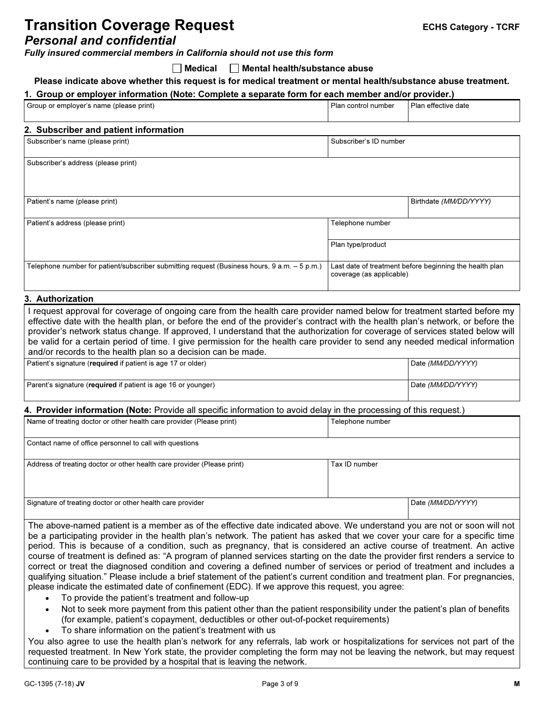## **Transition Coverage Request** Transition Coverage Request

### Personal and confidential

Fully insured commercial members in California should not use this form

 $\Box$  Medical  $\Box$  Mental health/substance abuse

#### Please indicate above whether this request is for medical treatment or mental health/substance abuse treatment.

#### 1. Group or employer information (Note: Complete a separate form for each member and/or provider.)

| Group or employer's name (please print)                                                                                                                                                                                                                                                                                                                                                                                                                                                                                                                                                       | Plan control number                                                                 | Plan effective date    |
|-----------------------------------------------------------------------------------------------------------------------------------------------------------------------------------------------------------------------------------------------------------------------------------------------------------------------------------------------------------------------------------------------------------------------------------------------------------------------------------------------------------------------------------------------------------------------------------------------|-------------------------------------------------------------------------------------|------------------------|
| 2. Subscriber and patient information                                                                                                                                                                                                                                                                                                                                                                                                                                                                                                                                                         |                                                                                     |                        |
| Subscriber's name (please print)                                                                                                                                                                                                                                                                                                                                                                                                                                                                                                                                                              | Subscriber's ID number                                                              |                        |
| Subscriber's address (please print)                                                                                                                                                                                                                                                                                                                                                                                                                                                                                                                                                           |                                                                                     |                        |
| Patient's name (please print)                                                                                                                                                                                                                                                                                                                                                                                                                                                                                                                                                                 |                                                                                     | Birthdate (MM/DD/YYYY) |
| Patient's address (please print)                                                                                                                                                                                                                                                                                                                                                                                                                                                                                                                                                              | Telephone number                                                                    |                        |
|                                                                                                                                                                                                                                                                                                                                                                                                                                                                                                                                                                                               | Plan type/product                                                                   |                        |
| Telephone number for patient/subscriber submitting request (Business hours, $9 a.m. - 5 p.m.$ )                                                                                                                                                                                                                                                                                                                                                                                                                                                                                               | Last date of treatment before beginning the health plan<br>coverage (as applicable) |                        |
| 3. Authorization                                                                                                                                                                                                                                                                                                                                                                                                                                                                                                                                                                              |                                                                                     |                        |
| I request approval for coverage of ongoing care from the health care provider named below for treatment started before my<br>effective date with the health plan, or before the end of the provider's contract with the health plan's network, or before the<br>provider's network status change. If approved, I understand that the authorization for coverage of services stated below will<br>be valid for a certain period of time. I give permission for the health care provider to send any needed medical information<br>and/or records to the health plan so a decision can be made. |                                                                                     |                        |

| Patient's signature (required if patient is age 17 or older)  | Date (MM/DD/YYYY) |
|---------------------------------------------------------------|-------------------|
|                                                               |                   |
| Parent's signature (required if patient is age 16 or younger) | Date (MM/DD/YYYY) |

### 4. Provider information (Note: Provide all specific information to avoid delay in the processing of this request.)

| Name of treating doctor or other health care provider (Please print)    | Telephone number |                   |
|-------------------------------------------------------------------------|------------------|-------------------|
| Contact name of office personnel to call with questions                 |                  |                   |
| Address of treating doctor or other health care provider (Please print) | Tax ID number    |                   |
| Signature of treating doctor or other health care provider              |                  | Date (MM/DD/YYYY) |

The above-named patient is a member as of the effective date indicated above. We understand you are not or soon will not be a participating provider in the health plan's network. The patient has asked that we cover your care for a specific time period. This is because of a condition, such as pregnancy, that is considered an active course of treatment. An active course of treatment is defined as: "A program of planned services starting on the date the provider first renders a service to correct or treat the diagnosed condition and covering a defined number of services or period of treatment and includes a qualifying situation." Please include a brief statement of the patient's current condition and treatment plan. For pregnancies, please indicate the estimated date of confinement (EDC). If we approve this request, you agree:

- • To provide the patient's treatment and follow-up •
- Not to seek more payment from this patient other than the patient responsibility under the patient's plan of benefits (for example, patient's copayment, deductibles or other out-of-pocket requirements)
- •To share information on the patient's treatment with us

You also agree to use the health plan's network for any referrals, lab work or hospitalizations for services not part of the requested treatment. In New York state, the provider completing the form may not be leaving the network, but may request continuing care to be provided by a hospital that is leaving the network.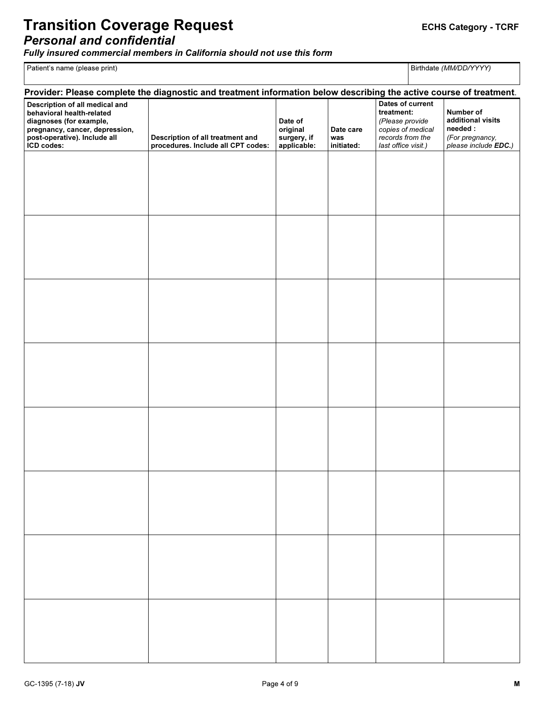### Transition Coverage Request **EXACTS CONSISTS** ECHS Category - TCRF Personal and confidential

Fully insured commercial members in California should not use this form

Patient's name (please print)

Birthdate (MM/DD/YYYY)

|                                                                                                                                                                        | Provider: Please complete the diagnostic and treatment information below describing the active course of treatment. |                                                   |                                |                                                                                                                   |                                                                                      |
|------------------------------------------------------------------------------------------------------------------------------------------------------------------------|---------------------------------------------------------------------------------------------------------------------|---------------------------------------------------|--------------------------------|-------------------------------------------------------------------------------------------------------------------|--------------------------------------------------------------------------------------|
| Description of all medical and<br>behavioral health-related<br>diagnoses (for example,<br>pregnancy, cancer, depression,<br>post-operative). Include all<br>ICD codes: | Description of all treatment and<br>procedures. Include all CPT codes:                                              | Date of<br>original<br>surgery, if<br>applicable: | Date care<br>was<br>initiated: | Dates of current<br>treatment:<br>(Please provide<br>copies of medical<br>records from the<br>last office visit.) | Number of<br>additional visits<br>needed:<br>(For pregnancy,<br>please include EDC.) |
|                                                                                                                                                                        |                                                                                                                     |                                                   |                                |                                                                                                                   |                                                                                      |
|                                                                                                                                                                        |                                                                                                                     |                                                   |                                |                                                                                                                   |                                                                                      |
|                                                                                                                                                                        |                                                                                                                     |                                                   |                                |                                                                                                                   |                                                                                      |
|                                                                                                                                                                        |                                                                                                                     |                                                   |                                |                                                                                                                   |                                                                                      |
|                                                                                                                                                                        |                                                                                                                     |                                                   |                                |                                                                                                                   |                                                                                      |
|                                                                                                                                                                        |                                                                                                                     |                                                   |                                |                                                                                                                   |                                                                                      |
|                                                                                                                                                                        |                                                                                                                     |                                                   |                                |                                                                                                                   |                                                                                      |
|                                                                                                                                                                        |                                                                                                                     |                                                   |                                |                                                                                                                   |                                                                                      |
|                                                                                                                                                                        |                                                                                                                     |                                                   |                                |                                                                                                                   |                                                                                      |
|                                                                                                                                                                        |                                                                                                                     |                                                   |                                |                                                                                                                   |                                                                                      |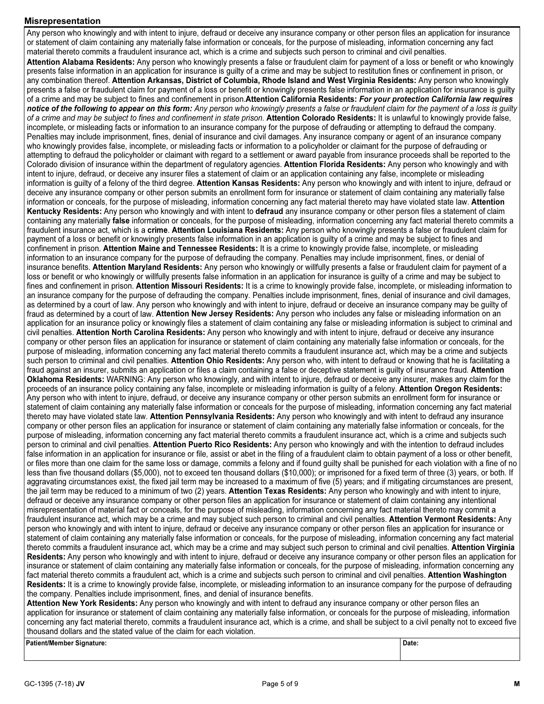#### Misrepresentation

Any person who knowingly and with intent to injure, defraud or deceive any insurance company or other person files an application for insurance or statement of claim containing any materially false information or conceals, for the purpose of misleading, information concerning any fact material thereto commits a fraudulent insurance act, which is a crime and subjects such person to criminal and civil penalties. Attention Alabama Residents: Any person who knowingly presents a false or fraudulent claim for payment of a loss or benefit or who knowingly presents false information in an application for insurance is guilty of a crime and may be subject to restitution fines or confinement in prison, or any combination thereof. Attention Arkansas, District of Columbia, Rhode Island and West Virginia Residents: Any person who knowingly presents a false or fraudulent claim for payment of a loss or benefit or knowingly presents false information in an application for insurance is guilty of a crime and may be subject to fines and confinement in prison.Attention California Residents: For your protection California law requires notice of the following to appear on this form: Any person who knowingly presents a false or fraudulent claim for the payment of a loss is guilty of a crime and may be subject to fines and confinement in state prison. Attention Colorado Residents: It is unlawful to knowingly provide false, incomplete, or misleading facts or information to an insurance company for the purpose of defrauding or attempting to defraud the company. Penalties may include imprisonment, fines, denial of insurance and civil damages. Any insurance company or agent of an insurance company who knowingly provides false, incomplete, or misleading facts or information to a policyholder or claimant for the purpose of defrauding or attempting to defraud the policyholder or claimant with regard to a settlement or award payable from insurance proceeds shall be reported to the Colorado division of insurance within the department of regulatory agencies. Attention Florida Residents: Any person who knowingly and with intent to injure, defraud, or deceive any insurer files a statement of claim or an application containing any false, incomplete or misleading information is guilty of a felony of the third degree. Attention Kansas Residents: Any person who knowingly and with intent to injure, defraud or deceive any insurance company or other person submits an enrollment form for insurance or statement of claim containing any materially false information or conceals, for the purpose of misleading, information concerning any fact material thereto may have violated state law. Attention Kentucky Residents: Any person who knowingly and with intent to defraud any insurance company or other person files a statement of claim containing any materially false information or conceals, for the purpose of misleading, information concerning any fact material thereto commits a fraudulent insurance act, which is a crime. Attention Louisiana Residents: Any person who knowingly presents a false or fraudulent claim for payment of a loss or benefit or knowingly presents false information in an application is guilty of a crime and may be subject to fines and confinement in prison. Attention Maine and Tennessee Residents: It is a crime to knowingly provide false, incomplete, or misleading information to an insurance company for the purpose of defrauding the company. Penalties may include imprisonment, fines, or denial of insurance benefits. Attention Maryland Residents: Any person who knowingly or willfully presents a false or fraudulent claim for payment of a loss or benefit or who knowingly or willfully presents false information in an application for insurance is guilty of a crime and may be subject to fines and confinement in prison. Attention Missouri Residents: It is a crime to knowingly provide false, incomplete, or misleading information to an insurance company for the purpose of defrauding the company. Penalties include imprisonment, fines, denial of insurance and civil damages, as determined by a court of law. Any person who knowingly and with intent to injure, defraud or deceive an insurance company may be guilty of fraud as determined by a court of law. Attention New Jersey Residents: Any person who includes any false or misleading information on an application for an insurance policy or knowingly files a statement of claim containing any false or misleading information is subject to criminal and civil penalties. Attention North Carolina Residents: Any person who knowingly and with intent to injure, defraud or deceive any insurance company or other person files an application for insurance or statement of claim containing any materially false information or conceals, for the purpose of misleading, information concerning any fact material thereto commits a fraudulent insurance act, which may be a crime and subjects such person to criminal and civil penalties. Attention Ohio Residents: Any person who, with intent to defraud or knowing that he is facilitating a fraud against an insurer, submits an application or files a claim containing a false or deceptive statement is guilty of insurance fraud. Attention Oklahoma Residents: WARNING: Any person who knowingly, and with intent to injure, defraud or deceive any insurer, makes any claim for the proceeds of an insurance policy containing any false, incomplete or misleading information is guilty of a felony. Attention Oregon Residents: Any person who with intent to injure, defraud, or deceive any insurance company or other person submits an enrollment form for insurance or statement of claim containing any materially false information or conceals for the purpose of misleading, information concerning any fact material thereto may have violated state law. Attention Pennsylvania Residents: Any person who knowingly and with intent to defraud any insurance company or other person files an application for insurance or statement of claim containing any materially false information or conceals, for the purpose of misleading, information concerning any fact material thereto commits a fraudulent insurance act, which is a crime and subjects such person to criminal and civil penalties. Attention Puerto Rico Residents: Any person who knowingly and with the intention to defraud includes false information in an application for insurance or file, assist or abet in the filing of a fraudulent claim to obtain payment of a loss or other benefit, or files more than one claim for the same loss or damage, commits a felony and if found guilty shall be punished for each violation with a fine of no less than five thousand dollars (\$5,000), not to exceed ten thousand dollars (\$10,000); or imprisoned for a fixed term of three (3) years, or both. If aggravating circumstances exist, the fixed jail term may be increased to a maximum of five (5) years; and if mitigating circumstances are present, the jail term may be reduced to a minimum of two (2) years. Attention Texas Residents: Any person who knowingly and with intent to injure, defraud or deceive any insurance company or other person files an application for insurance or statement of claim containing any intentional misrepresentation of material fact or conceals, for the purpose of misleading, information concerning any fact material thereto may commit a fraudulent insurance act, which may be a crime and may subject such person to criminal and civil penalties. Attention Vermont Residents: Any person who knowingly and with intent to injure, defraud or deceive any insurance company or other person files an application for insurance or statement of claim containing any materially false information or conceals, for the purpose of misleading, information concerning any fact material thereto commits a fraudulent insurance act, which may be a crime and may subject such person to criminal and civil penalties. Attention Virginia Residents: Any person who knowingly and with intent to injure, defraud or deceive any insurance company or other person files an application for insurance or statement of claim containing any materially false information or conceals, for the purpose of misleading, information concerning any fact material thereto commits a fraudulent act, which is a crime and subjects such person to criminal and civil penalties. Attention Washington Residents: It is a crime to knowingly provide false, incomplete, or misleading information to an insurance company for the purpose of defrauding the company. Penalties include imprisonment, fines, and denial of insurance benefits.

Attention New York Residents: Any person who knowingly and with intent to defraud any insurance company or other person files an application for insurance or statement of claim containing any materially false information, or conceals for the purpose of misleading, information concerning any fact material thereto, commits a fraudulent insurance act, which is a crime, and shall be subject to a civil penalty not to exceed five thousand dollars and the stated value of the claim for each violation.

**Patient/Member Signature:** Patient/Member Signature: Date: Date: Date: Date: Date: Date: Date: Date: Date: Date: Date: Date: Date: Date: Date: Date: Date: Date: Date: Date: Date: Date: Date: Date: Date: Date: Date: Date: Date: Date: Date: Date: Date

Date: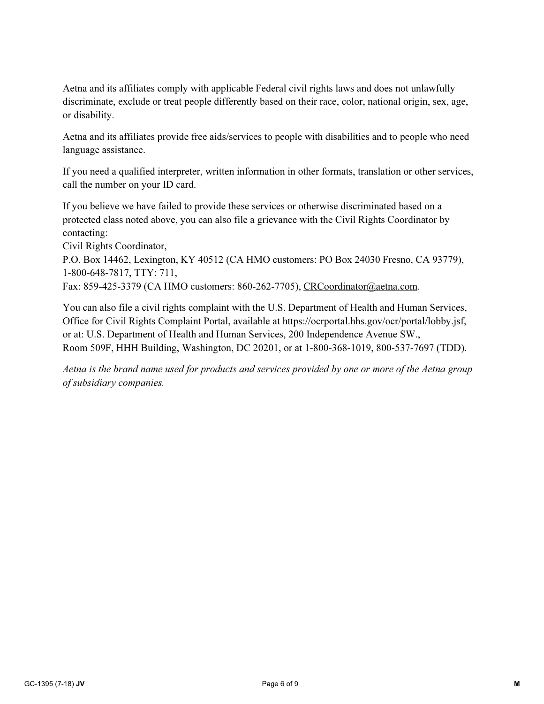Aetna and its affiliates comply with applicable Federal civil rights laws and does not unlawfully discriminate, exclude or treat people differently based on their race, color, national origin, sex, age, or disability.

Aetna and its affiliates provide free aids/services to people with disabilities and to people who need language assistance.

If you need a qualified interpreter, written information in other formats, translation or other services, call the number on your ID card.

If you believe we have failed to provide these services or otherwise discriminated based on a protected class noted above, you can also file a grievance with the Civil Rights Coordinator by contacting:

Civil Rights Coordinator,

P.O. Box 14462, Lexington, KY 40512 (CA HMO customers: PO Box 24030 Fresno, CA 93779), 1-800-648-7817, TTY: 711,

Fax: 859-425-3379 (CA HMO customers: 860-262-7705), CRCoordinator@aetna.com.

You can also file a civil rights complaint with the U.S. Department of Health and Human Services, Office for Civil Rights Complaint Portal, available at https://ocrportal.hhs.gov/ocr/portal/lobby.jsf, or at: U.S. Department of Health and Human Services, 200 Independence Avenue SW., Room 509F, HHH Building, Washington, DC 20201, or at 1-800-368-1019, 800-537-7697 (TDD).

Aetna is the brand name used for products and services provided by one or more of the Aetna group of subsidiary companies.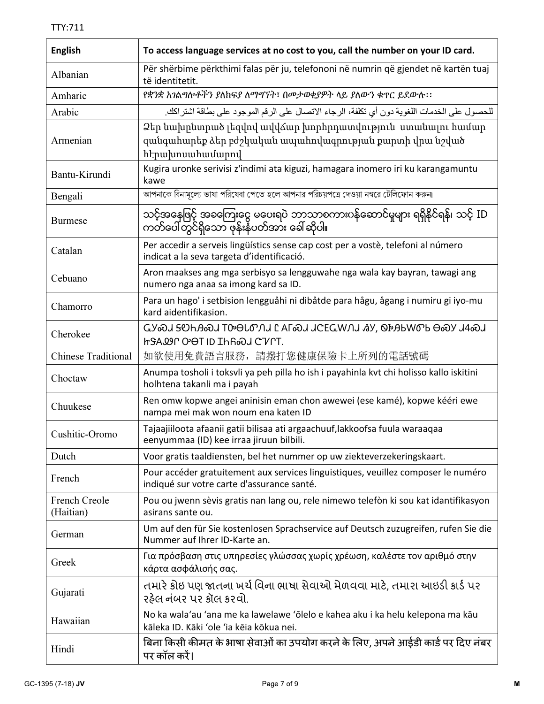| <b>English</b>             | To access language services at no cost to you, call the number on your ID card.                                                           |
|----------------------------|-------------------------------------------------------------------------------------------------------------------------------------------|
| Albanian                   | Për shërbime përkthimi falas për ju, telefononi në numrin që gjendet në kartën tuaj<br>të identitetit.                                    |
| Amharic                    | የቋንቋ አገልግሎቶችን ያለከፍያ ለማግኘት፣ በመታወቂያዎት ላይ ያለውን ቁጥር ይደውሱ፡፡                                                                                    |
| Arabic                     | للحصول على الخدمات اللغوية دون أي تكلفة، الرجاء الاتصال على الرقم الموجود على بطاقة اشتر اكك.                                             |
| Armenian                   | Ձեր նախընտրած լեզվով ավվձար խորհրդատվություն ստանալու համար<br>զանգահարեք ձեր բժշկական ապահովագրության քարտի վրա նշված<br>հէրախոսահամարով |
| Bantu-Kirundi              | Kugira uronke serivisi z'indimi ata kiguzi, hamagara inomero iri ku karangamuntu<br>kawe                                                  |
| Bengali                    | আপনাকে বিনামূল্যে ভাষা পরিষেবা পেতে হলে আপনার পরিচয়পত্রে দেওয়া নম্বরে টেলিফোন করুন।                                                     |
| <b>Burmese</b>             | သင့်အနေဖြင့် အစကြေးငွေ မပေးရပဲ ဘာသာစကားဂန်ဆောင်မှုများ ရရှိနိုင်ရန်၊ သင့် ID<br>ကတ်ပေါ်တွင်ရှိသော ဖုန်းနံပတ်အား ခေါ်ဆိုပါ။                |
| Catalan                    | Per accedir a serveis lingüístics sense cap cost per a vostè, telefoni al número<br>indicat a la seva targeta d'identificació.            |
| Cebuano                    | Aron maakses ang mga serbisyo sa lengguwahe nga wala kay bayran, tawagi ang<br>numero nga anaa sa imong kard sa ID.                       |
| Chamorro                   | Para un hago' i setbision lengguåhi ni dibåtde para hågu, ågang i numiru gi iyo-mu<br>kard aidentifikasion.                               |
| Cherokee                   | GY�J <del>S</del> OHA�J IDOLOJI LAL�J JCEGWJJ IY, OPAPMOP O�J 14�J<br><b>hSAQIP OOT ID IHR&amp;J CVPT.</b>                                |
| <b>Chinese Traditional</b> | 如欲使用免費語言服務,請撥打您健康保險卡上所列的電話號碼                                                                                                              |
| Choctaw                    | Anumpa tosholi i toksvli ya peh pilla ho ish i payahinla kvt chi holisso kallo iskitini<br>holhtena takanli ma i payah                    |
| Chuukese                   | Ren omw kopwe angei aninisin eman chon awewei (ese kamé), kopwe kééri ewe<br>nampa mei mak won noum ena katen ID                          |
| Cushitic-Oromo             | Tajaajiiloota afaanii gatii bilisaa ati argaachuuf,lakkoofsa fuula waraaqaa<br>eenyummaa (ID) kee irraa jiruun bilbili.                   |
| Dutch                      | Voor gratis taaldiensten, bel het nummer op uw ziekteverzekeringskaart.                                                                   |
| French                     | Pour accéder gratuitement aux services linguistiques, veuillez composer le numéro<br>indiqué sur votre carte d'assurance santé.           |
| French Creole<br>(Haitian) | Pou ou jwenn sèvis gratis nan lang ou, rele nimewo telefòn ki sou kat idantifikasyon<br>asirans sante ou.                                 |
| German                     | Um auf den für Sie kostenlosen Sprachservice auf Deutsch zuzugreifen, rufen Sie die<br>Nummer auf Ihrer ID-Karte an.                      |
| Greek                      | Για πρόσβαση στις υπηρεσίες γλώσσας χωρίς χρέωση, καλέστε τον αριθμό στην<br>κάρτα ασφάλισής σας.                                         |
| Gujarati                   | તમારે કોઇ પણ જાતના ખર્ચ વિના ભાષા સેવાઓ મેળવવા માટે, તમારા આઇડી કાર્ડ પર<br>રઠેલ નંબર પર કૉલ કરવો.                                        |
| Hawaiian                   | No ka wala'au 'ana me ka lawelawe 'ōlelo e kahea aku i ka helu kelepona ma kāu<br>kāleka ID. Kāki 'ole 'ia kēja kōkua nei.                |
| Hindi                      | बिना किसी कीमत के भाषा सेवाओं का उपयोग करने के लिए, अपने आईडी कार्ड पर दिए नंबर<br>पर कॉल करें।                                           |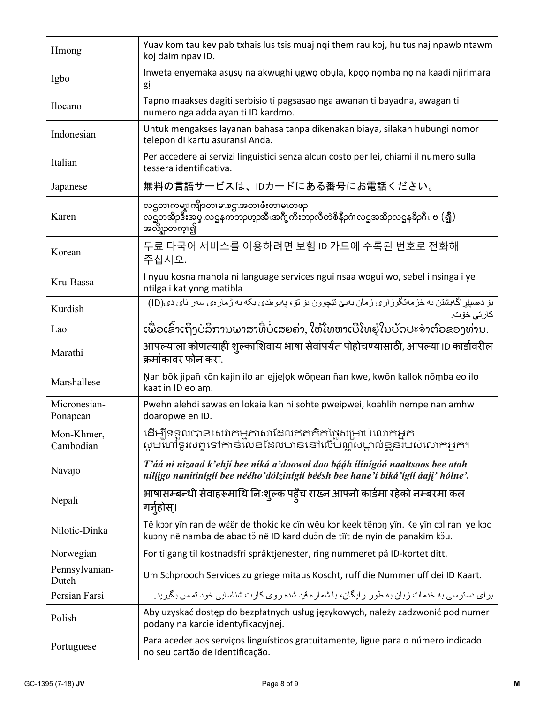| Hmong                    | Yuav kom tau kev pab txhais lus tsis muaj nqi them rau koj, hu tus naj npawb ntawm<br>koj daim npav ID.                                                             |
|--------------------------|---------------------------------------------------------------------------------------------------------------------------------------------------------------------|
| Igbo                     | Inweta enyemaka asusu na akwughi ugwo obula, kpoo nomba no na kaadi njirimara<br>gi                                                                                 |
| Ilocano                  | Tapno maakses dagiti serbisio ti pagsasao nga awanan ti bayadna, awagan ti<br>numero nga adda ayan ti ID kardmo.                                                    |
| Indonesian               | Untuk mengakses layanan bahasa tanpa dikenakan biaya, silakan hubungi nomor<br>telepon di kartu asuransi Anda.                                                      |
| Italian                  | Per accedere ai servizi linguistici senza alcun costo per lei, chiami il numero sulla<br>tessera identificativa.                                                    |
| Japanese                 | 無料の言語サービスは、IDカードにある番号にお電話ください。                                                                                                                                      |
| Karen                    | လဌတၢကမ္န။ကျိုာတၢမၤစဌၤအတၢဖံံးတၢမၤတဖဉ<br>လဋ္ဌတအိဉဒီးအပ္နလ္ဒေနကဘာဟာ့ဘီးအဂ်ီးတိုးဘာလီတဲစိနီဉဂံၤလဌအအိဉလဌနခ်ိဉဂိၤ ဗ (၍)<br>အလိွှာတက္]၍                                    |
| Korean                   | 무료 다국어 서비스를 이용하려면 보험 ID 카드에 수록된 번호로 전화해<br>주십시오.                                                                                                                    |
| Kru-Bassa                | I nyuu kosna mahola ni language services ngui nsaa wogui wo, sebel i nsinga i ye<br>ntilga i kat yong matibla                                                       |
| Kurdish                  | بۆ دەسپیراگەيشتن بە خزمەتگوزارى زمان بەبى تیچوون بۆ تۆ، پەيوەندى بكە بە ژمارەي سەر ئاي دى(ID)<br><u>كارتى خۆت.</u>                                                  |
| Lao                      | ເພື່ອເຂົ້າເຖິງບໍລິການພາສາທີ່ບໍ່ເສຍຄ່າ, ໃຫ້ໂທຫາເບີໂທຢູ່ໃນບັດປະຈຳຕົວຂອງທ່ານ.                                                                                          |
| Marathi                  | आपल्याला कोणत्याही शुल्काशिवाय भाषा सेवांपर्यंत पोहोचण्यासाठी, आपल्या ID कार्डावरील<br>क्रमांकावर फोन करा.                                                          |
| Marshallese              | Nan bōk jipañ kōn kajin ilo an ejjelok wōņean ñan kwe, kwōn kallok nōmba eo ilo<br>kaat in ID eo am.                                                                |
| Micronesian-<br>Ponapean | Pwehn alehdi sawas en lokaia kan ni sohte pweipwei, koahlih nempe nan amhw<br>doaropwe en ID.                                                                       |
| Mon-Khmer,<br>Cambodian  | ដើម្បីទទួលបានសេវាកម្មភាសាដែលឥតគិតថ្លៃសម្រាប់លោកអ្នក<br>សូមហៅទូរសព្ទទៅកាន់លេខដែលមាននៅលើបណ្តឹសម្គាល់ខ្លួនរបស់លោកអ្នក។                                                 |
| Navajo                   | T'áá ni nizaad k'ehjí bee níká a'doowol doo bááh ílínígóó naaltsoos bee atah<br>nílijgo nanitinígií bee néého'dólzinígií béésh bee hane'í biká'ígíí áaji' hólne'.   |
| Nepali                   | भाषासम्बन्धी सेवाहरूमाथि निःशुल्क पहूँच राख्न आफ्नो कार्डमा रहेको नम्बरमा कल<br>गर्नुहोस्।                                                                          |
| Nilotic-Dinka            | Të koor yïn ran de wëër de thokic ke cïn wëu kor keek tënon yïn. Ke yïn col ran ye koc<br>kuony në namba de abac tö në ID kard duön de tiït de nyin de panakim köu. |
| Norwegian                | For tilgang til kostnadsfri språktjenester, ring nummeret på ID-kortet ditt.                                                                                        |
| Pennsylvanian-<br>Dutch  | Um Schprooch Services zu griege mitaus Koscht, ruff die Nummer uff dei ID Kaart.                                                                                    |
| Persian Farsi            | برای دسترسی به خدمات زبان به طور رایگان، با شماره قید شده روی کارت شناسایی خود تماس بگیرید.                                                                         |
| Polish                   | Aby uzyskać dostęp do bezpłatnych usług językowych, należy zadzwonić pod numer<br>podany na karcie identyfikacyjnej.                                                |
| Portuguese               | Para aceder aos serviços linguísticos gratuitamente, ligue para o número indicado<br>no seu cartão de identificação.                                                |